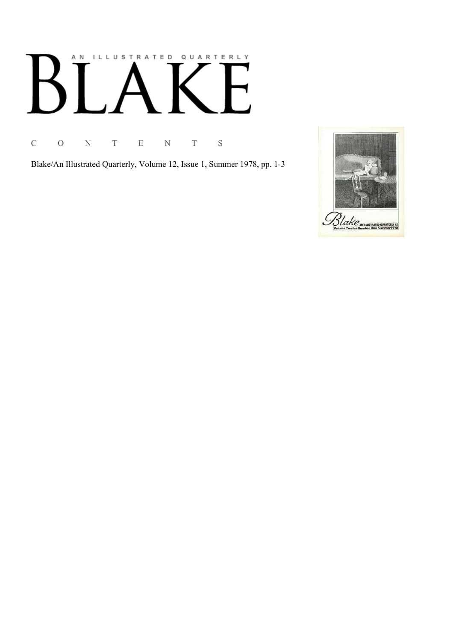# AN ILLUSTRATED QUARTERLY  $\mathsf{L}$  $\bm{\mathsf{B}}$

C O N T E N T S

Blake/An Illustrated Quarterly, Volume 12, Issue 1, Summer 1978, pp. 1-3

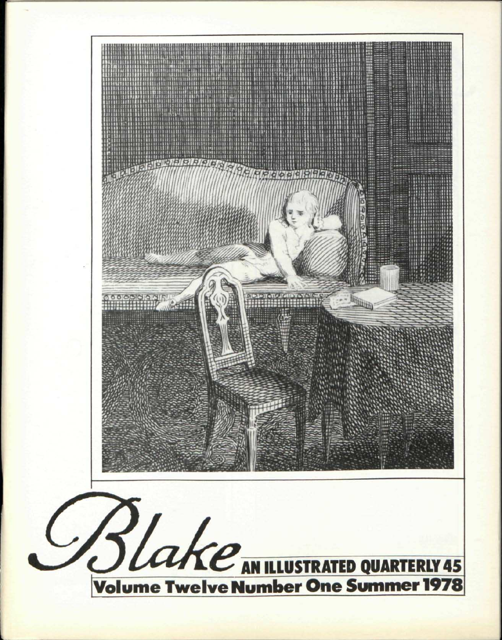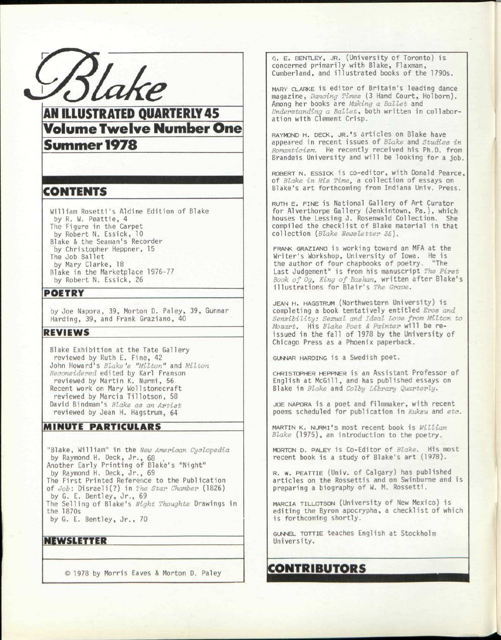$B\overline{$ 

# **AN ILLUSTRATED QUARTERLY 45<br>Volume Twelve Number One CHEMIC TWELVE NUMBER ONE**

# Summer 1978

### CONTENTS

William Rosetti's Aldine Edition of Blake by R. W. Peattie, 4 The Figure in the Carpet by Robert N. Essick, 10 Blake & the Seaman's Recorder by Christopher Heppner, 15 The Job Ballet by Mary Clarke, 18 Blake in the Marketplace 1976-77 by Robert N. Essick, 26

#### POETRY

*by* Joe Napora, 39, Morton D. Paley, 39, Gunnar Harding, 39, and Frank Graziano, 40

#### REVIEWS

Blake Exhibition at the Tate Gallery reviewed by Ruth E. Fine, 42 John Howard's *Blake's "Milton"* and *Milton Reconsidered* edited by Karl Franson reviewed by Martin K. Nurmi, 56 Recent work on Mary Wollstonecraft reviewed by Marcia Tillotson , 58 David Bindman's *Blake as an Artist*  reviewed by Jean H. Hagstrum, 64

#### MINUTE PARTICULARS

"Blake, William" in the *New American Cyclopedia*  by Raymond H. Deck, Jr. , 68 Another Early Printing of Blake's "Ni by Raymond H. Deck, Jr. , 69 The First Printed Reference to the Publication ght" of *Job:* Disraeli(?) in *The Star Chamber* (1826) by G. E. Bentley, Jr., 69 The Selling of Blake's *Night Thoughts*  Drawings in the 1870s by G. E. Bentley, Jr. , 70

#### NEWSLETTER

© 1978 by Morris Eaves & Morton D. Paley

G. E. BENTLEY, JR. (University of Toronto) is concerned primarily with Blake, Flaxman, Cumberland, and illustrated books of the 1790s.

MARY CLARKE is editor of Britain's leading dance magazine, *Dancing Times* (3 Hand Court, Holborn). Among her books are *Making a Ballet* and *Understanding a Ballet,* both written in collaboration with Clement Crisp.

RAYMOND H. DECK, JR.'S articles on Blake have appeared in recent issues of *Blake* and *Studies in Romanticism.* He recently received his Ph.D. from Brandeis University and will be looking for a job.

ROBERT N. ESSICK is co-editor, with Donald Pearce, of *Blake in His Times* a collection of essays on Blake's art forthcoming from Indiana Univ. Press.

RUTH E. FINE is National Gallery of Art Curator for Alverthorpe Gallery (Jenkintown, Pa.), which houses the Lessing J. Rosenwald Collection. She compiled the checklist of Blake material in that collection *[Blake Newsletter 35).* 

FRANK GRAZIANO is working toward an MFA at the Writer's Workshop, University of Iowa. He is the author of four chapbooks of poetry. "The Last Judgement" is from his manuscript *The First Book of Og3 King of Bashan,* written after Blake's illustrations for Blair's *The Grave.* 

JEAN H. HAGSTRUM (Northwestern University) is completing a book tentatively entitled *Eros and Sensibility: Sexual and Ideal Love from Milton to Mozart.* His *Blake Poet & Painter* will be reissued in the fall of 1978 by the University of Chicago Press as a Phoenix paperback.

GUNNAR HARDING is a Swedish poet.

CHRISTOPHER HEPPNER is an Assistant Professor of English at McGill, and has published essays on Blake in *Blake* and *Colby Library Quarterly.* 

JOE NAPORA is a poet and filmmaker, with recent poems scheduled for publication in *Kuksu* and *etc.* 

MARTIN K. NURMI's most recent book is *William Blake* (1975), an introduction to the poetry.

MORTON D. PALEY is Co-Editor of *Blake.* His most recent book is a study of Blake's art (1978).

R. w. PEATTIE (Univ. of Calgary) has published articles on the Rossettis and on Swinburne and is preparing a biography of W. M. Rossetti.

MARCIA TILLOTSON (University of New Mexico) is editing the Byron apocrypha, a checklist of which is forthcoming shortly.

GUNNEL TOTTIE teaches English at Stockholm University.

# CONTRIBUTORS